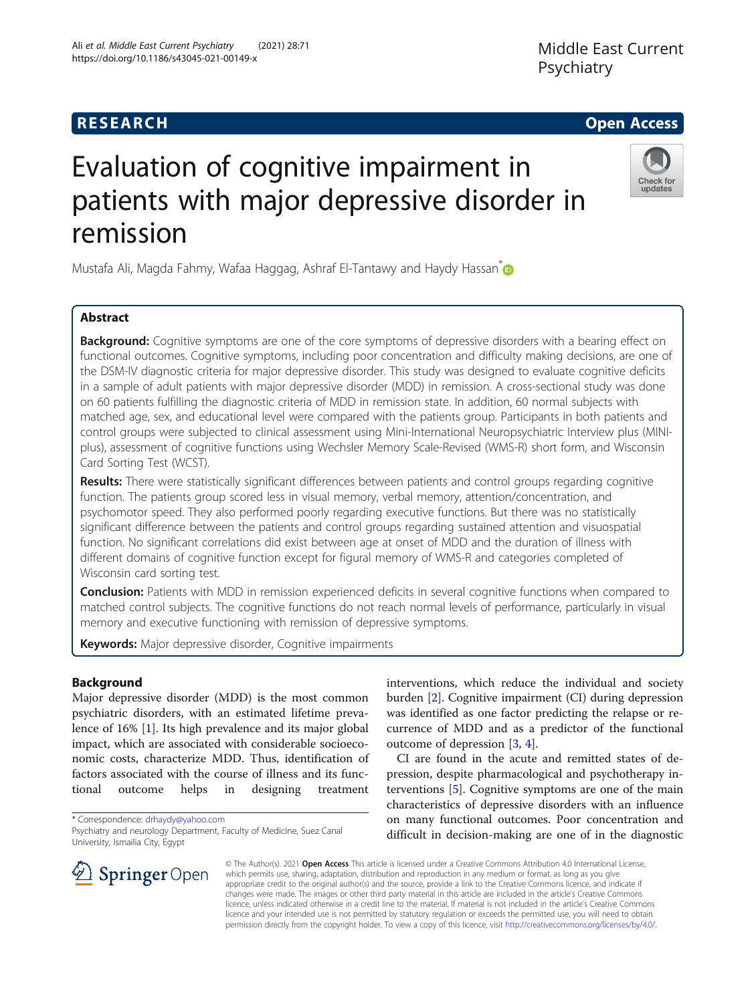## **RESEARCH CHE Open Access**

# Evaluation of cognitive impairment in patients with major depressive disorder in remission

Mustafa Ali, Magda Fahmy, Wafaa Haggag, Ashraf El-Tantawy and Haydy Hassan<sup>[\\*](http://orcid.org/0000-0003-2002-4942)</sup>

### Abstract

**Background:** Cognitive symptoms are one of the core symptoms of depressive disorders with a bearing effect on functional outcomes. Cognitive symptoms, including poor concentration and difficulty making decisions, are one of the DSM-IV diagnostic criteria for major depressive disorder. This study was designed to evaluate cognitive deficits in a sample of adult patients with major depressive disorder (MDD) in remission. A cross-sectional study was done on 60 patients fulfilling the diagnostic criteria of MDD in remission state. In addition, 60 normal subjects with matched age, sex, and educational level were compared with the patients group. Participants in both patients and control groups were subjected to clinical assessment using Mini-International Neuropsychiatric Interview plus (MINIplus), assessment of cognitive functions using Wechsler Memory Scale-Revised (WMS-R) short form, and Wisconsin Card Sorting Test (WCST).

Results: There were statistically significant differences between patients and control groups regarding cognitive function. The patients group scored less in visual memory, verbal memory, attention/concentration, and psychomotor speed. They also performed poorly regarding executive functions. But there was no statistically significant difference between the patients and control groups regarding sustained attention and visuospatial function. No significant correlations did exist between age at onset of MDD and the duration of illness with different domains of cognitive function except for figural memory of WMS-R and categories completed of Wisconsin card sorting test.

Conclusion: Patients with MDD in remission experienced deficits in several cognitive functions when compared to matched control subjects. The cognitive functions do not reach normal levels of performance, particularly in visual memory and executive functioning with remission of depressive symptoms.

Keywords: Major depressive disorder, Cognitive impairments

#### Background

Major depressive disorder (MDD) is the most common psychiatric disorders, with an estimated lifetime prevalence of 16% [[1\]](#page-5-0). Its high prevalence and its major global impact, which are associated with considerable socioeconomic costs, characterize MDD. Thus, identification of factors associated with the course of illness and its functional outcome helps in designing treatment

\* Correspondence: [drhaydy@yahoo.com](mailto:drhaydy@yahoo.com)

interventions, which reduce the individual and society burden [[2\]](#page-5-0). Cognitive impairment (CI) during depression was identified as one factor predicting the relapse or recurrence of MDD and as a predictor of the functional outcome of depression [[3,](#page-5-0) [4\]](#page-5-0).

CI are found in the acute and remitted states of depression, despite pharmacological and psychotherapy interventions [[5\]](#page-5-0). Cognitive symptoms are one of the main characteristics of depressive disorders with an influence on many functional outcomes. Poor concentration and difficult in decision-making are one of in the diagnostic

© The Author(s). 2021 Open Access This article is licensed under a Creative Commons Attribution 4.0 International License, which permits use, sharing, adaptation, distribution and reproduction in any medium or format, as long as you give appropriate credit to the original author(s) and the source, provide a link to the Creative Commons licence, and indicate if changes were made. The images or other third party material in this article are included in the article's Creative Commons licence, unless indicated otherwise in a credit line to the material. If material is not included in the article's Creative Commons licence and your intended use is not permitted by statutory regulation or exceeds the permitted use, you will need to obtain permission directly from the copyright holder. To view a copy of this licence, visit <http://creativecommons.org/licenses/by/4.0/>.







Psychiatry and neurology Department, Faculty of Medicine, Suez Canal University, Ismailia City, Egypt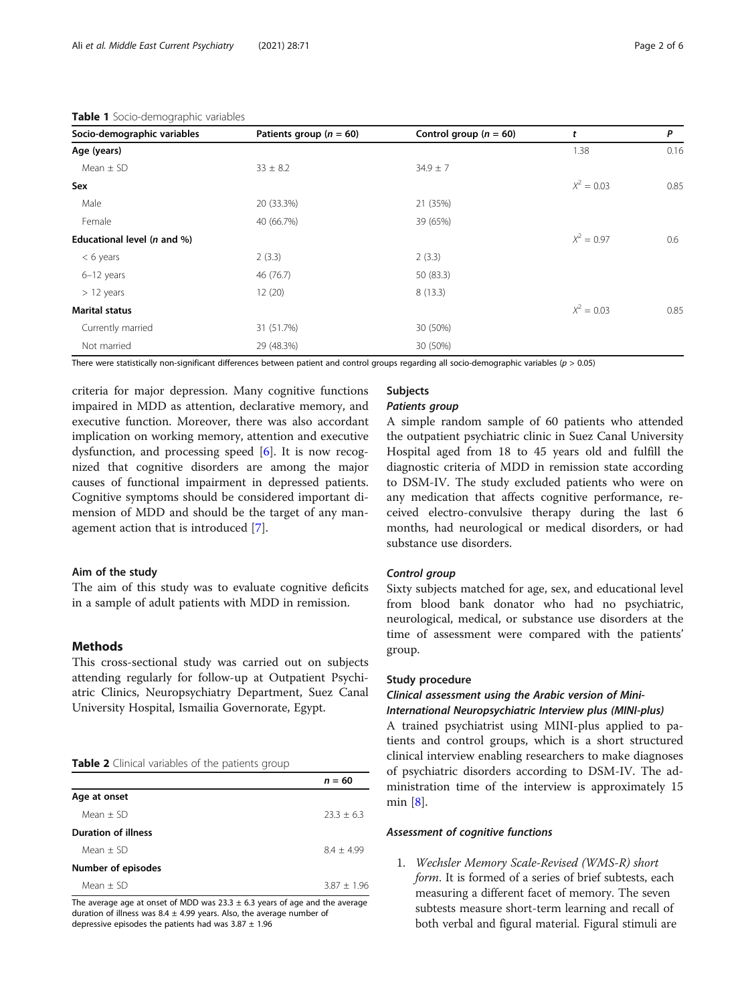| Socio-demographic variables | Patients group ( $n = 60$ ) | Control group ( $n = 60$ ) | t            | P    |
|-----------------------------|-----------------------------|----------------------------|--------------|------|
| Age (years)                 |                             |                            | 1.38         | 0.16 |
| Mean $\pm$ SD               | $33 \pm 8.2$                | $34.9 \pm 7$               |              |      |
| Sex                         |                             |                            | $X^2 = 0.03$ | 0.85 |
| Male                        | 20 (33.3%)                  | 21 (35%)                   |              |      |
| Female                      | 40 (66.7%)                  | 39 (65%)                   |              |      |
| Educational level (n and %) |                             |                            | $X^2 = 0.97$ | 0.6  |
| $< 6$ years                 | 2(3.3)                      | 2(3.3)                     |              |      |
| 6-12 years                  | 46 (76.7)                   | 50 (83.3)                  |              |      |
| $> 12$ years                | 12(20)                      | 8(13.3)                    |              |      |
| <b>Marital status</b>       |                             |                            | $X^2 = 0.03$ | 0.85 |
| Currently married           | 31 (51.7%)                  | 30 (50%)                   |              |      |
| Not married                 | 29 (48.3%)                  | 30 (50%)                   |              |      |

#### <span id="page-1-0"></span>Table 1 Socio-demographic variables

There were statistically non-significant differences between patient and control groups regarding all socio-demographic variables ( $p > 0.05$ )

criteria for major depression. Many cognitive functions impaired in MDD as attention, declarative memory, and executive function. Moreover, there was also accordant implication on working memory, attention and executive dysfunction, and processing speed [\[6](#page-5-0)]. It is now recognized that cognitive disorders are among the major causes of functional impairment in depressed patients. Cognitive symptoms should be considered important dimension of MDD and should be the target of any management action that is introduced [\[7](#page-5-0)].

#### Aim of the study

The aim of this study was to evaluate cognitive deficits in a sample of adult patients with MDD in remission.

#### Methods

This cross-sectional study was carried out on subjects attending regularly for follow-up at Outpatient Psychiatric Clinics, Neuropsychiatry Department, Suez Canal University Hospital, Ismailia Governorate, Egypt.

|  | Table 2 Clinical variables of the patients group |  |  |
|--|--------------------------------------------------|--|--|
|  |                                                  |  |  |

|                            | $n = 60$       |
|----------------------------|----------------|
| Age at onset               |                |
| $Mean + SD$                | $23.3 + 6.3$   |
| <b>Duration of illness</b> |                |
| $Mean + SD$                | $8.4 \pm 4.99$ |
| Number of episodes         |                |
| Mean $+$ SD                | $3.87 + 1.96$  |

The average age at onset of MDD was  $23.3 \pm 6.3$  years of age and the average duration of illness was  $8.4 \pm 4.99$  years. Also, the average number of depressive episodes the patients had was  $3.87 \pm 1.96$ 

#### **Subjects**

A simple random sample of 60 patients who attended the outpatient psychiatric clinic in Suez Canal University Hospital aged from 18 to 45 years old and fulfill the diagnostic criteria of MDD in remission state according to DSM-IV. The study excluded patients who were on any medication that affects cognitive performance, received electro-convulsive therapy during the last 6 months, had neurological or medical disorders, or had substance use disorders.

Sixty subjects matched for age, sex, and educational level from blood bank donator who had no psychiatric, neurological, medical, or substance use disorders at the time of assessment were compared with the patients' group.

#### Study procedure

## Clinical assessment using the Arabic version of Mini-

A trained psychiatrist using MINI-plus applied to patients and control groups, which is a short structured clinical interview enabling researchers to make diagnoses of psychiatric disorders according to DSM-IV. The administration time of the interview is approximately 15 min [[8\]](#page-5-0).

#### Assessment of cognitive functions

1. Wechsler Memory Scale-Revised (WMS-R) short form. It is formed of a series of brief subtests, each measuring a different facet of memory. The seven subtests measure short-term learning and recall of both verbal and figural material. Figural stimuli are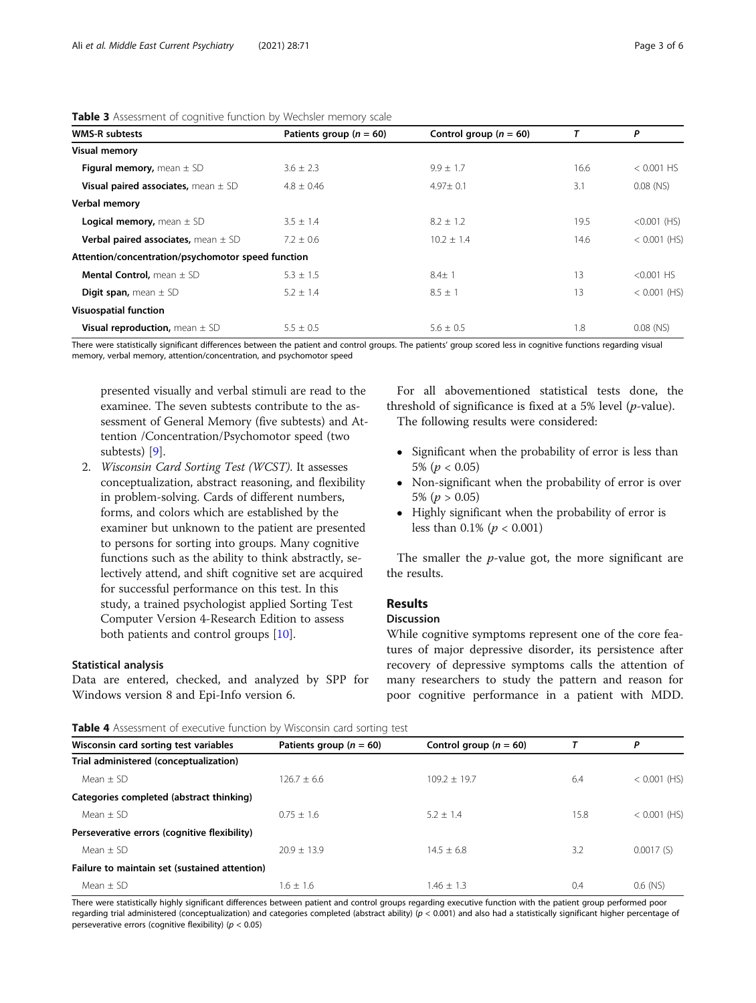| <b>WMS-R subtests</b>                                     | Patients group ( $n = 60$ ) | Control group ( $n = 60$ ) | т    | Ρ              |
|-----------------------------------------------------------|-----------------------------|----------------------------|------|----------------|
| <b>Visual memory</b>                                      |                             |                            |      |                |
| <b>Figural memory,</b> mean $\pm$ SD                      | $3.6 \pm 2.3$               | $9.9 \pm 1.7$              | 16.6 | $< 0.001$ HS   |
| Visual paired associates, mean $\pm$ SD                   | $4.8 + 0.46$                | $4.97 \pm 0.1$             | 3.1  | $0.08$ (NS)    |
| Verbal memory                                             |                             |                            |      |                |
| <b>Logical memory,</b> mean $\pm$ SD                      | $3.5 \pm 1.4$               | $8.2 \pm 1.2$              | 19.5 | $< 0.001$ (HS) |
| <b>Verbal paired associates, mean <math>\pm</math> SD</b> | $7.2 \pm 0.6$               | $10.2 \pm 1.4$             | 14.6 | $<$ 0.001 (HS) |
| Attention/concentration/psychomotor speed function        |                             |                            |      |                |
| <b>Mental Control, mean <math>\pm</math> SD</b>           | $5.3 \pm 1.5$               | $8.4 + 1$                  | 13   | $< 0.001$ HS   |
| <b>Digit span, mean <math>\pm</math> SD</b>               | $5.2 \pm 1.4$               | $8.5 + 1$                  | 13   | $< 0.001$ (HS) |
| <b>Visuospatial function</b>                              |                             |                            |      |                |
| <b>Visual reproduction, mean <math>\pm</math> SD</b>      | $5.5 \pm 0.5$               | $5.6 + 0.5$                | 1.8  | $0.08$ (NS)    |

<span id="page-2-0"></span>

|  |  |  | <b>Table 3</b> Assessment of cognitive function by Wechsler memory scale |  |  |
|--|--|--|--------------------------------------------------------------------------|--|--|
|--|--|--|--------------------------------------------------------------------------|--|--|

There were statistically significant differences between the patient and control groups. The patients' group scored less in cognitive functions regarding visual memory, verbal memory, attention/concentration, and psychomotor speed

presented visually and verbal stimuli are read to the examinee. The seven subtests contribute to the assessment of General Memory (five subtests) and Attention /Concentration/Psychomotor speed (two subtests) [\[9](#page-5-0)].

2. Wisconsin Card Sorting Test (WCST). It assesses conceptualization, abstract reasoning, and flexibility in problem-solving. Cards of different numbers, forms, and colors which are established by the examiner but unknown to the patient are presented to persons for sorting into groups. Many cognitive functions such as the ability to think abstractly, selectively attend, and shift cognitive set are acquired for successful performance on this test. In this study, a trained psychologist applied Sorting Test Computer Version 4-Research Edition to assess both patients and control groups [\[10\]](#page-5-0).

#### Statistical analysis

Data are entered, checked, and analyzed by SPP for Windows version 8 and Epi-Info version 6.

For all abovementioned statistical tests done, the threshold of significance is fixed at a 5% level  $(p$ -value). The following results were considered:

- Significant when the probability of error is less than 5% ( $p < 0.05$ )
- Non-significant when the probability of error is over 5% ( $p > 0.05$ )
- Highly significant when the probability of error is less than  $0.1\%$  ( $p < 0.001$ )

The smaller the  $p$ -value got, the more significant are the results.

#### Results

#### Discussion

While cognitive symptoms represent one of the core features of major depressive disorder, its persistence after recovery of depressive symptoms calls the attention of many researchers to study the pattern and reason for poor cognitive performance in a patient with MDD.

Table 4 Assessment of executive function by Wisconsin card sorting test

| <b>CONCEPT</b> ASSESSMENTED TO CACCULIVE TURCULARY WISCONSITI CATE SOFTING TEST |                             |                            |      |                |  |  |
|---------------------------------------------------------------------------------|-----------------------------|----------------------------|------|----------------|--|--|
| Wisconsin card sorting test variables                                           | Patients group ( $n = 60$ ) | Control group ( $n = 60$ ) |      | P              |  |  |
| Trial administered (conceptualization)                                          |                             |                            |      |                |  |  |
| Mean $+$ SD                                                                     | $126.7 + 6.6$               | $109.2 + 19.7$             | 6.4  | $<$ 0.001 (HS) |  |  |
| Categories completed (abstract thinking)                                        |                             |                            |      |                |  |  |
| Mean $\pm$ SD                                                                   | $0.75 + 1.6$                | $5.2 + 1.4$                | 15.8 | $<$ 0.001 (HS) |  |  |
| Perseverative errors (cognitive flexibility)                                    |                             |                            |      |                |  |  |
| Mean $\pm$ SD                                                                   | $20.9 + 13.9$               | $14.5 + 6.8$               | 3.2  | 0.0017(S)      |  |  |
| Failure to maintain set (sustained attention)                                   |                             |                            |      |                |  |  |
| Mean $+$ SD                                                                     | $1.6 + 1.6$                 | $1.46 + 1.3$               | 0.4  | $0.6$ (NS)     |  |  |
|                                                                                 |                             |                            |      |                |  |  |

There were statistically highly significant differences between patient and control groups regarding executive function with the patient group performed poor regarding trial administered (conceptualization) and categories completed (abstract ability) ( $p < 0.001$ ) and also had a statistically significant higher percentage of perseverative errors (cognitive flexibility) ( $p < 0.05$ )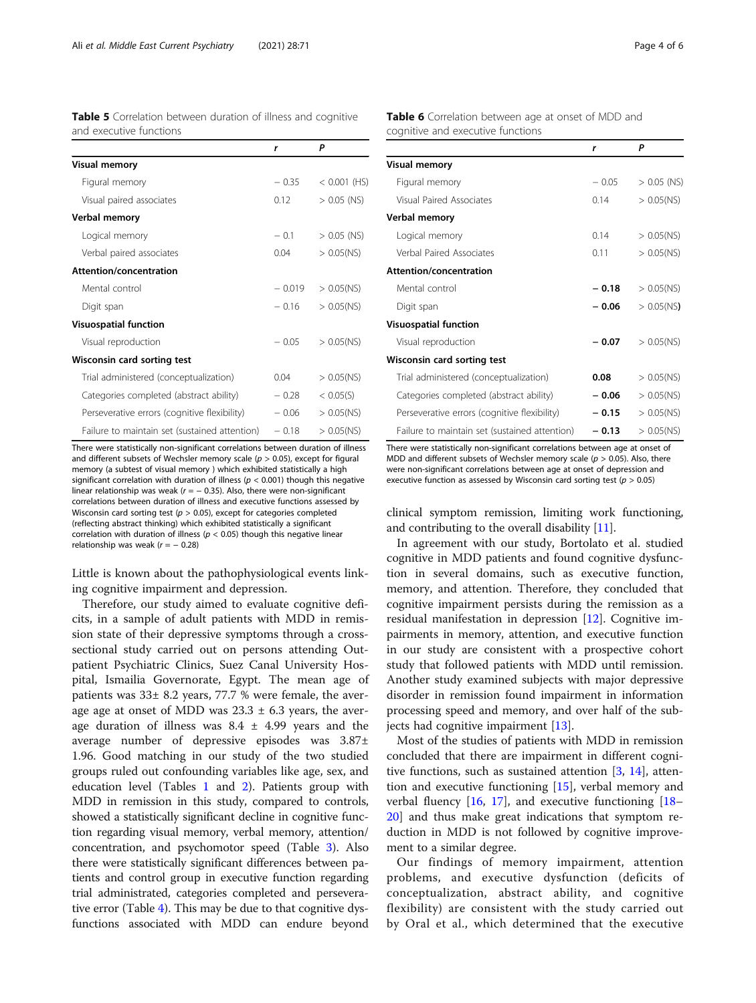<span id="page-3-0"></span>

| Table 5 Correlation between duration of illness and cognitive |  |  |  |
|---------------------------------------------------------------|--|--|--|
| and executive functions                                       |  |  |  |

|                                               | r        | Ρ              |
|-----------------------------------------------|----------|----------------|
| <b>Visual memory</b>                          |          |                |
| Figural memory                                | $-0.35$  | $< 0.001$ (HS) |
| Visual paired associates                      | 0.12     | $> 0.05$ (NS)  |
| Verbal memory                                 |          |                |
| Logical memory                                | $-0.1$   | $> 0.05$ (NS)  |
| Verbal paired associates                      | 0.04     | $> 0.05$ (NS)  |
| Attention/concentration                       |          |                |
| Mental control                                | $-0.019$ | $> 0.05$ (NS)  |
| Digit span                                    | $-0.16$  | $> 0.05$ (NS)  |
| <b>Visuospatial function</b>                  |          |                |
| Visual reproduction                           | $-0.05$  | $> 0.05$ (NS)  |
| Wisconsin card sorting test                   |          |                |
| Trial administered (conceptualization)        | 0.04     | $> 0.05$ (NS)  |
| Categories completed (abstract ability)       | $-0.28$  | < 0.05(S)      |
| Perseverative errors (cognitive flexibility)  | $-0.06$  | $> 0.05$ (NS)  |
| Failure to maintain set (sustained attention) | $-0.18$  | $> 0.05$ (NS)  |

There were statistically non-significant correlations between duration of illness and different subsets of Wechsler memory scale ( $p > 0.05$ ), except for figural memory (a subtest of visual memory ) which exhibited statistically a high significant correlation with duration of illness ( $p < 0.001$ ) though this negative linear relationship was weak ( $r = -0.35$ ). Also, there were non-significant correlations between duration of illness and executive functions assessed by Wisconsin card sorting test ( $p > 0.05$ ), except for categories completed (reflecting abstract thinking) which exhibited statistically a significant correlation with duration of illness ( $p < 0.05$ ) though this negative linear relationship was weak ( $r = -0.28$ )

Little is known about the pathophysiological events linking cognitive impairment and depression.

Therefore, our study aimed to evaluate cognitive deficits, in a sample of adult patients with MDD in remission state of their depressive symptoms through a crosssectional study carried out on persons attending Outpatient Psychiatric Clinics, Suez Canal University Hospital, Ismailia Governorate, Egypt. The mean age of patients was 33± 8.2 years, 77.7 % were female, the average age at onset of MDD was  $23.3 \pm 6.3$  years, the average duration of illness was  $8.4 \pm 4.99$  years and the average number of depressive episodes was 3.87± 1.96. Good matching in our study of the two studied groups ruled out confounding variables like age, sex, and education level (Tables [1](#page-1-0) and [2\)](#page-1-0). Patients group with MDD in remission in this study, compared to controls, showed a statistically significant decline in cognitive function regarding visual memory, verbal memory, attention/ concentration, and psychomotor speed (Table [3\)](#page-2-0). Also there were statistically significant differences between patients and control group in executive function regarding trial administrated, categories completed and perseverative error (Table [4](#page-2-0)). This may be due to that cognitive dysfunctions associated with MDD can endure beyond Table 6 Correlation between age at onset of MDD and cognitive and executive functions

|                                               | r       | P             |
|-----------------------------------------------|---------|---------------|
| <b>Visual memory</b>                          |         |               |
| Figural memory                                | $-0.05$ | $> 0.05$ (NS) |
| Visual Paired Associates                      | 0.14    | $> 0.05$ (NS) |
| Verbal memory                                 |         |               |
| Logical memory                                | 0.14    | $> 0.05$ (NS) |
| Verbal Paired Associates                      | 0.11    | $> 0.05$ (NS) |
| Attention/concentration                       |         |               |
| Mental control                                | $-0.18$ | $> 0.05$ (NS) |
| Digit span                                    | $-0.06$ | $> 0.05$ (NS) |
| <b>Visuospatial function</b>                  |         |               |
| Visual reproduction                           | $-0.07$ | $> 0.05$ (NS) |
| Wisconsin card sorting test                   |         |               |
| Trial administered (conceptualization)        | 0.08    | $> 0.05$ (NS) |
| Categories completed (abstract ability)       | $-0.06$ | $> 0.05$ (NS) |
| Perseverative errors (cognitive flexibility)  | $-0.15$ | $> 0.05$ (NS) |
| Failure to maintain set (sustained attention) | $-0.13$ | $> 0.05$ (NS) |

There were statistically non-significant correlations between age at onset of MDD and different subsets of Wechsler memory scale ( $p > 0.05$ ). Also, there were non-significant correlations between age at onset of depression and executive function as assessed by Wisconsin card sorting test ( $p > 0.05$ )

clinical symptom remission, limiting work functioning, and contributing to the overall disability [[11](#page-5-0)].

In agreement with our study, Bortolato et al. studied cognitive in MDD patients and found cognitive dysfunction in several domains, such as executive function, memory, and attention. Therefore, they concluded that cognitive impairment persists during the remission as a residual manifestation in depression [\[12](#page-5-0)]. Cognitive impairments in memory, attention, and executive function in our study are consistent with a prospective cohort study that followed patients with MDD until remission. Another study examined subjects with major depressive disorder in remission found impairment in information processing speed and memory, and over half of the subjects had cognitive impairment [\[13](#page-5-0)].

Most of the studies of patients with MDD in remission concluded that there are impairment in different cognitive functions, such as sustained attention [\[3](#page-5-0), [14\]](#page-5-0), attention and executive functioning [[15\]](#page-5-0), verbal memory and verbal fluency [[16](#page-5-0), [17\]](#page-5-0), and executive functioning [[18](#page-5-0)– [20\]](#page-5-0) and thus make great indications that symptom reduction in MDD is not followed by cognitive improvement to a similar degree.

Our findings of memory impairment, attention problems, and executive dysfunction (deficits of conceptualization, abstract ability, and cognitive flexibility) are consistent with the study carried out by Oral et al., which determined that the executive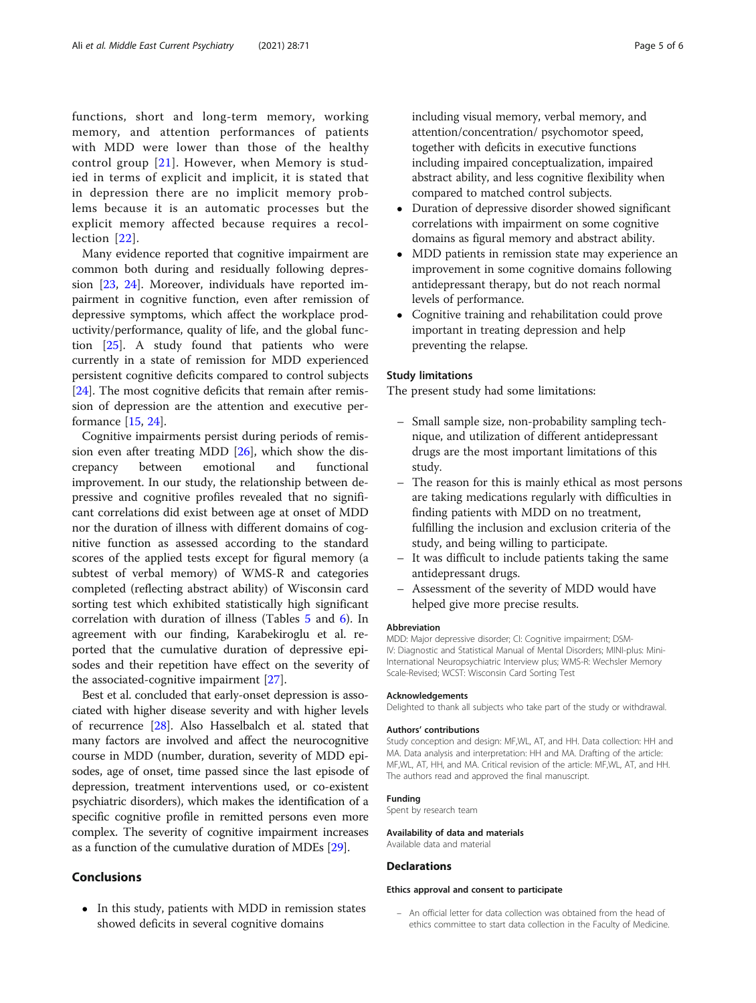functions, short and long-term memory, working memory, and attention performances of patients with MDD were lower than those of the healthy control group [[21](#page-5-0)]. However, when Memory is studied in terms of explicit and implicit, it is stated that in depression there are no implicit memory problems because it is an automatic processes but the explicit memory affected because requires a recollection [[22](#page-5-0)].

Many evidence reported that cognitive impairment are common both during and residually following depression [\[23](#page-5-0), [24\]](#page-5-0). Moreover, individuals have reported impairment in cognitive function, even after remission of depressive symptoms, which affect the workplace productivity/performance, quality of life, and the global function [[25\]](#page-5-0). A study found that patients who were currently in a state of remission for MDD experienced persistent cognitive deficits compared to control subjects [[24\]](#page-5-0). The most cognitive deficits that remain after remission of depression are the attention and executive performance [\[15](#page-5-0), [24\]](#page-5-0).

Cognitive impairments persist during periods of remission even after treating MDD [\[26](#page-5-0)], which show the discrepancy between emotional and functional improvement. In our study, the relationship between depressive and cognitive profiles revealed that no significant correlations did exist between age at onset of MDD nor the duration of illness with different domains of cognitive function as assessed according to the standard scores of the applied tests except for figural memory (a subtest of verbal memory) of WMS-R and categories completed (reflecting abstract ability) of Wisconsin card sorting test which exhibited statistically high significant correlation with duration of illness (Tables [5](#page-3-0) and [6\)](#page-3-0). In agreement with our finding, Karabekiroglu et al. reported that the cumulative duration of depressive episodes and their repetition have effect on the severity of the associated-cognitive impairment [[27\]](#page-5-0).

Best et al. concluded that early-onset depression is associated with higher disease severity and with higher levels of recurrence [[28](#page-5-0)]. Also Hasselbalch et al. stated that many factors are involved and affect the neurocognitive course in MDD (number, duration, severity of MDD episodes, age of onset, time passed since the last episode of depression, treatment interventions used, or co-existent psychiatric disorders), which makes the identification of a specific cognitive profile in remitted persons even more complex. The severity of cognitive impairment increases as a function of the cumulative duration of MDEs [[29\]](#page-5-0).

#### Conclusions

• In this study, patients with MDD in remission states showed deficits in several cognitive domains

including visual memory, verbal memory, and attention/concentration/ psychomotor speed, together with deficits in executive functions including impaired conceptualization, impaired abstract ability, and less cognitive flexibility when compared to matched control subjects.

- Duration of depressive disorder showed significant correlations with impairment on some cognitive domains as figural memory and abstract ability.
- MDD patients in remission state may experience an improvement in some cognitive domains following antidepressant therapy, but do not reach normal levels of performance.
- Cognitive training and rehabilitation could prove important in treating depression and help preventing the relapse.

#### Study limitations

The present study had some limitations:

- Small sample size, non-probability sampling technique, and utilization of different antidepressant drugs are the most important limitations of this study.
- The reason for this is mainly ethical as most persons are taking medications regularly with difficulties in finding patients with MDD on no treatment, fulfilling the inclusion and exclusion criteria of the study, and being willing to participate.
- It was difficult to include patients taking the same antidepressant drugs.
- Assessment of the severity of MDD would have helped give more precise results.

#### Abbreviation

MDD: Major depressive disorder; CI: Cognitive impairment; DSM-IV: Diagnostic and Statistical Manual of Mental Disorders; MINI-plus: Mini-International Neuropsychiatric Interview plus; WMS-R: Wechsler Memory Scale-Revised; WCST: Wisconsin Card Sorting Test

#### Acknowledgements

Delighted to thank all subjects who take part of the study or withdrawal.

#### Authors' contributions

Study conception and design: MF,WL, AT, and HH. Data collection: HH and MA. Data analysis and interpretation: HH and MA. Drafting of the article: MF,WL, AT, HH, and MA. Critical revision of the article: MF,WL, AT, and HH. The authors read and approved the final manuscript.

#### Funding

Spent by research team

#### Availability of data and materials

Available data and material

#### **Declarations**

#### Ethics approval and consent to participate

– An official letter for data collection was obtained from the head of ethics committee to start data collection in the Faculty of Medicine.